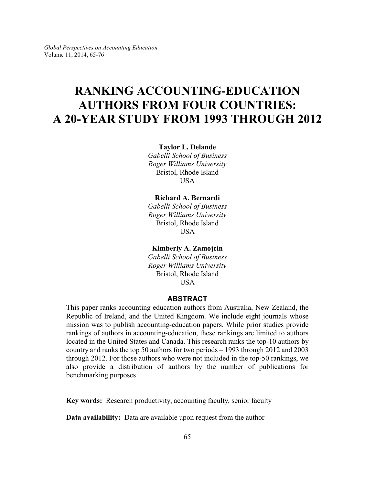# **RANKING ACCOUNTING-EDUCATION AUTHORS FROM FOUR COUNTRIES: A 20-YEAR STUDY FROM 1993 THROUGH 2012**

**Taylor L. Delande**

*Gabelli School of Business Roger Williams University* Bristol, Rhode Island USA

## **Richard A. Bernardi**

*Gabelli School of Business Roger Williams University* Bristol, Rhode Island **USA** 

### **Kimberly A. Zamojcin**

*Gabelli School of Business Roger Williams University* Bristol, Rhode Island USA

#### **ABSTRACT**

This paper ranks accounting education authors from Australia, New Zealand, the Republic of Ireland, and the United Kingdom. We include eight journals whose mission was to publish accounting-education papers. While prior studies provide rankings of authors in accounting-education, these rankings are limited to authors located in the United States and Canada. This research ranks the top-10 authors by country and ranks the top 50 authors for two periods – 1993 through 2012 and 2003 through 2012. For those authors who were not included in the top-50 rankings, we also provide a distribution of authors by the number of publications for benchmarking purposes.

**Key words:** Research productivity, accounting faculty, senior faculty

**Data availability:** Data are available upon request from the author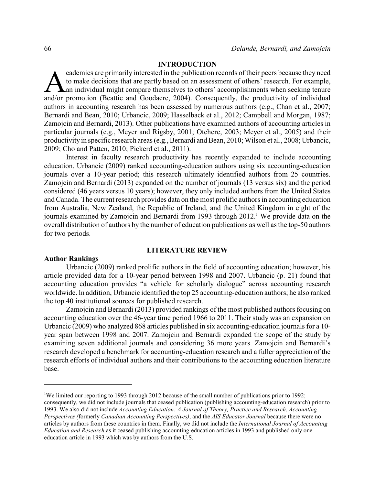### **INTRODUCTION**

cademics are primarily interested in the publication records of their peers because they need<br>to make decisions that are partly based on an assessment of others' research. For example,<br>an individual might compare themselve cademics are primarily interested in the publication records of their peers because they need to make decisions that are partly based on an assessment of others' research. For example, an individual might compare themselves to others' accomplishments when seeking tenure authors in accounting research has been assessed by numerous authors (e.g., Chan et al., 2007; Bernardi and Bean, 2010; Urbancic, 2009; Hasselback et al., 2012; Campbell and Morgan, 1987; Zamojcin and Bernardi, 2013). Other publications have examined authors of accounting articles in particular journals (e.g., Meyer and Rigsby, 2001; Otchere, 2003; Meyer et al., 2005) and their productivity in specific research areas (e.g., Bernardi and Bean, 2010; Wilson et al., 2008; Urbancic, 2009; Cho and Patten, 2010; Pickerd et al., 2011).

Interest in faculty research productivity has recently expanded to include accounting education. Urbancic (2009) ranked accounting-education authors using six accounting-education journals over a 10-year period; this research ultimately identified authors from 25 countries. Zamojcin and Bernardi (2013) expanded on the number of journals (13 versus six) and the period considered (46 years versus 10 years); however, they only included authors from the United States and Canada. The current research provides data on the most prolific authors in accounting education from Australia, New Zealand, the Republic of Ireland, and the United Kingdom in eight of the journals examined by Zamojcin and Bernardi from 1993 through  $2012<sup>1</sup>$  We provide data on the overall distribution of authors by the number of education publications as well as the top-50 authors for two periods.

#### **LITERATURE REVIEW**

#### **Author Rankings**

Urbancic (2009) ranked prolific authors in the field of accounting education; however, his article provided data for a 10-year period between 1998 and 2007. Urbancic (p. 21) found that accounting education provides "a vehicle for scholarly dialogue" across accounting research worldwide. In addition, Urbancic identified the top 25 accounting-education authors; he also ranked the top 40 institutional sources for published research.

Zamojcin and Bernardi (2013) provided rankings of the most published authors focusing on accounting education over the 46-year time period 1966 to 2011. Their study was an expansion on Urbancic (2009) who analyzed 868 articles published in six accounting-education journals for a 10 year span between 1998 and 2007. Zamojcin and Bernardi expanded the scope of the study by examining seven additional journals and considering 36 more years. Zamojcin and Bernardi's research developed a benchmark for accounting-education research and a fuller appreciation of the research efforts of individual authors and their contributions to the accounting education literature base.

<sup>&</sup>lt;sup>1</sup>We limited our reporting to 1993 through 2012 because of the small number of publications prior to 1992; consequently, we did not include journals that ceased publication (publishing accounting-education research) prior to 1993. We also did not include *Accounting Education: A Journal of Theory, Practice and Research*, *Accounting Perspectives (*formerly *Canadian Accounting Perspectives)*, and the *AIS Educator Journal* because there were no articles by authors from these countries in them. Finally, we did not include the *International Journal of Accounting Education and Research* as it ceased publishing accounting-education articles in 1993 and published only one education article in 1993 which was by authors from the U.S.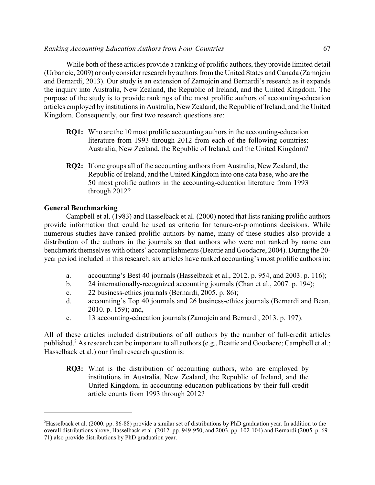While both of these articles provide a ranking of prolific authors, they provide limited detail (Urbancic, 2009) or only consider research by authors from the United States and Canada (Zamojcin and Bernardi, 2013). Our study is an extension of Zamojcin and Bernardi's research as it expands the inquiry into Australia, New Zealand, the Republic of Ireland, and the United Kingdom. The purpose of the study is to provide rankings of the most prolific authors of accounting-education articles employed by institutions in Australia, New Zealand, the Republic of Ireland, and the United Kingdom. Consequently, our first two research questions are:

- **RO1:** Who are the 10 most prolific accounting authors in the accounting-education literature from 1993 through 2012 from each of the following countries: Australia, New Zealand, the Republic of Ireland, and the United Kingdom?
- **RQ2:** If one groups all of the accounting authors from Australia, New Zealand, the Republic of Ireland, and the United Kingdom into one data base, who are the 50 most prolific authors in the accounting-education literature from 1993 through 2012?

## **General Benchmarking**

Campbell et al. (1983) and Hasselback et al. (2000) noted that lists ranking prolific authors provide information that could be used as criteria for tenure-or-promotions decisions. While numerous studies have ranked prolific authors by name, many of these studies also provide a distribution of the authors in the journals so that authors who were not ranked by name can benchmark themselves with others' accomplishments (Beattie and Goodacre, 2004). During the 20 year period included in this research, six articles have ranked accounting's most prolific authors in:

- a. accounting's Best 40 journals (Hasselback et al., 2012. p. 954, and 2003. p. 116);
- b. 24 internationally-recognized accounting journals (Chan et al., 2007. p. 194);
- c. 22 business-ethics journals (Bernardi, 2005. p. 86);
- d. accounting's Top 40 journals and 26 business-ethics journals (Bernardi and Bean, 2010. p. 159); and,
- e. 13 accounting-education journals (Zamojcin and Bernardi, 2013. p. 197).

All of these articles included distributions of all authors by the number of full-credit articles published.<sup>2</sup> As research can be important to all authors (e.g., Beattie and Goodacre; Campbell et al.; Hasselback et al.) our final research question is:

**RQ3:** What is the distribution of accounting authors, who are employed by institutions in Australia, New Zealand, the Republic of Ireland, and the United Kingdom, in accounting-education publications by their full-credit article counts from 1993 through 2012?

<sup>2</sup>Hasselback et al. (2000. pp. 86-88) provide a similar set of distributions by PhD graduation year. In addition to the overall distributions above, Hasselback et al. (2012. pp. 949-950, and 2003. pp. 102-104) and Bernardi (2005. p. 69- 71) also provide distributions by PhD graduation year.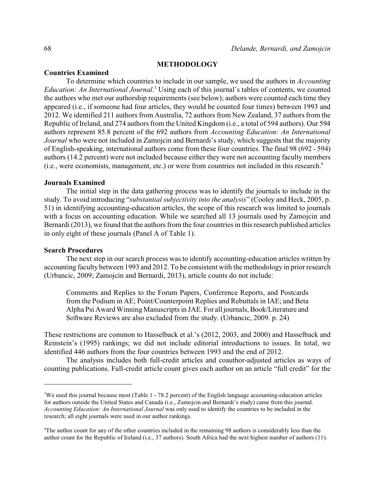#### **METHODOLOGY**

#### **Countries Examined**

To determine which countries to include in our sample, we used the authors in *Accounting Education: An International Journal*. <sup>3</sup> Using each of this journal's tables of contents, we counted the authors who met our authorship requirements (see below); authors were counted each time they appeared (i.e., if someone had four articles, they would be counted four times) between 1993 and 2012. We identified 211 authors from Australia, 72 authors from New Zealand, 37 authors from the Republic of Ireland, and 274 authors from the United Kingdom (i.e., a total of 594 authors). Our 594 authors represent 85.8 percent of the 692 authors from *Accounting Education: An International Journal* who were not included in Zamojcin and Bernardi's study, which suggests that the majority of English-speaking, international authors come from these four countries. The final 98 (692 - 594) authors (14.2 percent) were not included because either they were not accounting faculty members (i.e., were economists, management, etc.) or were from countries not included in this research.<sup>4</sup>

#### **Journals Examined**

The initial step in the data gathering process was to identify the journals to include in the study. To avoid introducing "*substantial subjectivity into the analysis*" (Cooley and Heck, 2005, p. 51) in identifying accounting-education articles, the scope of this research was limited to journals with a focus on accounting education. While we searched all 13 journals used by Zamojcin and Bernardi (2013), we found that the authors from the four countries in this research published articles in only eight of these journals (Panel A of Table 1).

#### **Search Procedures**

The next step in our search process was to identify accounting-education articles written by accounting faculty between 1993 and 2012. To be consistent with the methodology in prior research (Urbancic, 2009; Zamojcin and Bernardi, 2013), article counts do not include:

Comments and Replies to the Forum Papers, Conference Reports, and Postcards from the Podium in AE; Point/Counterpoint Replies and Rebuttals in IAE; and Beta Alpha Psi Award Winning Manuscripts in JAE. For all journals, Book/Literature and Software Reviews are also excluded from the study. (Urbancic, 2009. p. 24)

These restrictions are common to Hasselback et al.'s (2012, 2003, and 2000) and Hasselback and Reinstein's (1995) rankings; we did not include editorial introductions to issues. In total, we identified 446 authors from the four countries between 1993 and the end of 2012.

The analysis includes both full-credit articles and coauthor-adjusted articles as ways of counting publications. Full-credit article count gives each author on an article "full credit" for the

<sup>&</sup>lt;sup>3</sup>We used this journal because most (Table 1 - 78.2 percent) of the English language accounting-education articles for authors outside the United States and Canada (i.e., Zamojcin and Bernardi's study) came from this journal. *Accounting Education: An International Journal* was only used to identify the countries to be included in the research; all eight journals were used in our author rankings.

<sup>4</sup>The author count for any of the other countries included in the remaining 98 authors is considerably less than the author count for the Republic of Ireland (i.e., 37 authors). South Africa had the next highest number of authors (11).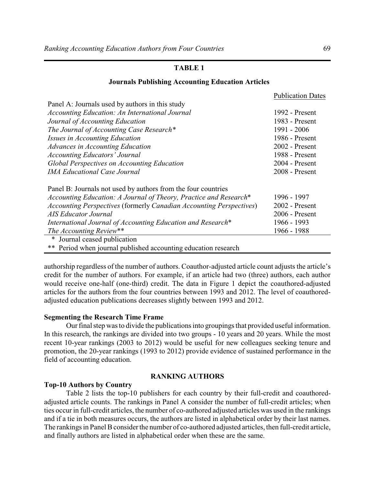## **Journals Publishing Accounting Education Articles**

|                                                                     | Publication Dates |
|---------------------------------------------------------------------|-------------------|
| Panel A: Journals used by authors in this study                     |                   |
| <b>Accounting Education: An International Journal</b>               | 1992 - Present    |
| Journal of Accounting Education                                     | 1983 - Present    |
| The Journal of Accounting Case Research*                            | 1991 - 2006       |
| Issues in Accounting Education                                      | 1986 - Present    |
| <b>Advances in Accounting Education</b>                             | $2002$ - Present  |
| <b>Accounting Educators' Journal</b>                                | 1988 - Present    |
| <b>Global Perspectives on Accounting Education</b>                  | 2004 - Present    |
| <b>IMA Educational Case Journal</b>                                 | 2008 - Present    |
| Panel B: Journals not used by authors from the four countries       |                   |
| Accounting Education: A Journal of Theory, Practice and Research*   | 1996 - 1997       |
| Accounting Perspectives (formerly Canadian Accounting Perspectives) | $2002$ - Present  |
| <b>AIS Educator Journal</b>                                         | $2006$ - Present  |
| International Journal of Accounting Education and Research*         | 1966 - 1993       |
| The Accounting Review**                                             | 1966 - 1988       |
| * Journal ceased publication                                        |                   |
| ** Period when journal published accounting education research      |                   |

authorship regardless of the number of authors. Coauthor-adjusted article count adjusts the article's credit for the number of authors. For example, if an article had two (three) authors, each author would receive one-half (one-third) credit. The data in Figure 1 depict the coauthored-adjusted articles for the authors from the four countries between 1993 and 2012. The level of coauthoredadjusted education publications decreases slightly between 1993 and 2012.

## **Segmenting the Research Time Frame**

Our final step was to divide the publications into groupings that provided useful information. In this research, the rankings are divided into two groups - 10 years and 20 years. While the most recent 10-year rankings (2003 to 2012) would be useful for new colleagues seeking tenure and promotion, the 20-year rankings (1993 to 2012) provide evidence of sustained performance in the field of accounting education.

## **Top-10 Authors by Country**

## **RANKING AUTHORS**

Table 2 lists the top-10 publishers for each country by their full-credit and coauthoredadjusted article counts. The rankings in Panel A consider the number of full-credit articles; when ties occur in full-credit articles, the number of co-authored adjusted articles was used in the rankings and if a tie in both measures occurs, the authors are listed in alphabetical order by their last names. The rankings in Panel B consider the number of co-authored adjusted articles, then full-credit article, and finally authors are listed in alphabetical order when these are the same.

Publication Dates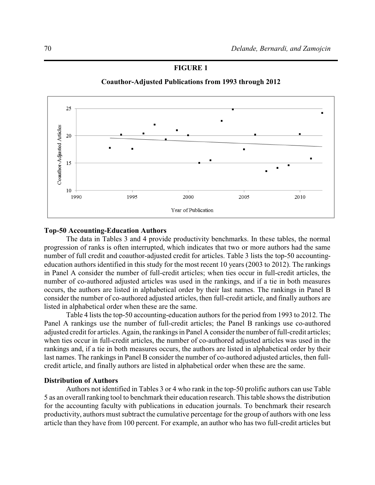## **FIGURE 1**





## **Top-50 Accounting-Education Authors**

The data in Tables 3 and 4 provide productivity benchmarks. In these tables, the normal progression of ranks is often interrupted, which indicates that two or more authors had the same number of full credit and coauthor-adjusted credit for articles. Table 3 lists the top-50 accountingeducation authors identified in this study for the most recent 10 years (2003 to 2012). The rankings in Panel A consider the number of full-credit articles; when ties occur in full-credit articles, the number of co-authored adjusted articles was used in the rankings, and if a tie in both measures occurs, the authors are listed in alphabetical order by their last names. The rankings in Panel B consider the number of co-authored adjusted articles, then full-credit article, and finally authors are listed in alphabetical order when these are the same.

Table 4 lists the top-50 accounting-education authors for the period from 1993 to 2012. The Panel A rankings use the number of full-credit articles; the Panel B rankings use co-authored adjusted credit for articles. Again, the rankings in Panel A consider the number of full-credit articles; when ties occur in full-credit articles, the number of co-authored adjusted articles was used in the rankings and, if a tie in both measures occurs, the authors are listed in alphabetical order by their last names. The rankings in Panel B consider the number of co-authored adjusted articles, then fullcredit article, and finally authors are listed in alphabetical order when these are the same.

## **Distribution of Authors**

Authors not identified in Tables 3 or 4 who rank in the top-50 prolific authors can use Table 5 as an overall ranking tool to benchmark their education research. This table shows the distribution for the accounting faculty with publications in education journals. To benchmark their research productivity, authors must subtract the cumulative percentage for the group of authors with one less article than they have from 100 percent. For example, an author who has two full-credit articles but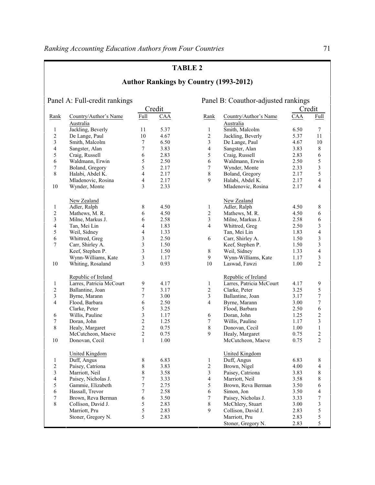| <b>TABLE 2</b> |  |
|----------------|--|
|----------------|--|

|                  |                               |                |        |                  | <b>Author Rankings by Country (1993-2012)</b> |        |                          |
|------------------|-------------------------------|----------------|--------|------------------|-----------------------------------------------|--------|--------------------------|
|                  | Panel A: Full-credit rankings |                |        |                  | Panel B: Coauthor-adjusted rankings           |        |                          |
|                  |                               |                | Credit |                  |                                               | Credit |                          |
| Rank             | Country/Author's Name         | Full           | CAA    | Rank             | Country/Author's Name                         | CAA    | Full                     |
|                  | Australia                     |                |        |                  | Australia                                     |        |                          |
| $\mathbf{1}$     | Jackling, Beverly             | 11             | 5.37   | $\mathbf{1}$     | Smith, Malcolm                                | 6.50   | $\tau$                   |
| $\sqrt{2}$       | De Lange, Paul                | 10             | 4.67   | 2                | Jackling, Beverly                             | 5.37   | 11                       |
| 3                | Smith, Malcolm                | 7              | 6.50   | 3                | De Lange, Paul                                | 4.67   | 10                       |
| $\overline{4}$   | Sangster, Alan                | 7              | 3.83   | $\overline{4}$   | Sangster, Alan                                | 3.83   | $\,8\,$                  |
| 5                | Craig, Russell                | 6              | 2.83   | 5                | Craig, Russell                                | 2.83   | 6                        |
| 6                | Waldmann, Erwin               | 5              | 2.50   | 6                | Waldmann, Erwin                               | 2.50   | 5                        |
| $\boldsymbol{7}$ | Boland, Gregory               | 5              | 2.17   | $\boldsymbol{7}$ | Wynder, Monte                                 | 2.33   | $\mathfrak{Z}$           |
| 8                | Halabi, Abdel K.              | 4              | 2.17   | $8\,$            | Boland, Gregory                               | 2.17   | 5                        |
|                  | Mladenovic, Rosina            | 4              | 2.17   | 9                | Halabi, Abdel K.                              | 2.17   | $\overline{4}$           |
| 10               | Wynder, Monte                 | 3              | 2.33   |                  | Mladenovic, Rosina                            | 2.17   | $\overline{4}$           |
|                  |                               |                |        |                  |                                               |        |                          |
|                  | New Zealand                   |                |        |                  | New Zealand                                   |        |                          |
| $\mathbf{1}$     | Adler, Ralph                  | 8              | 4.50   | $\mathbf{1}$     | Adler, Ralph                                  | 4.50   | 8                        |
| $\boldsymbol{2}$ | Mathews, M. R.                | 6              | 4.50   | $\overline{2}$   | Mathews, M. R.                                | 4.50   | 6                        |
| $\mathfrak{Z}$   | Milne, Markus J.              | 6              | 2.58   | 3                | Milne, Markus J.                              | 2.58   | 6                        |
| $\overline{4}$   | Tan, Mei Lin                  | 4              | 1.83   | $\overline{4}$   | Whittred, Greg                                | 2.50   | 3                        |
| 5                | Weil, Sidney                  | 4              | 1.33   |                  | Tan, Mei Lin                                  | 1.83   | $\overline{4}$           |
| 6                | Whittred, Greg                | 3              | 2.50   | 6                | Carr, Shirley A.                              | 1.50   | $\mathfrak{Z}$           |
| $\tau$           | Carr, Shirley A.              | 3              | 1.50   |                  | Keef, Stephen P.                              | 1.50   | 3                        |
|                  | Keef, Stephen P.              | 3              | 1.50   | 8                | Weil, Sidney                                  | 1.33   | $\overline{\mathcal{L}}$ |
|                  | Wynn-Williams, Kate           | 3              | 1.17   | 9                | Wynn-Williams, Kate                           | 1.17   | 3                        |
| 10               | Whiting, Rosaland             | 3              | 0.93   | 10               | Laswad, Fawzi                                 | 1.00   | $\overline{2}$           |
|                  | Republic of Ireland           |                |        |                  | Republic of Ireland                           |        |                          |
| $\mathbf{1}$     | Larres, Patricia McCourt      | 9              | 4.17   | 1                | Larres, Patricia McCourt                      | 4.17   | 9                        |
| $\overline{c}$   | Ballantine, Joan              | 7              | 3.17   | $\overline{2}$   | Clarke, Peter                                 | 3.25   | 5                        |
| 3                | Byrne, Marann                 | 7              | 3.00   | 3                | Ballantine, Joan                              | 3.17   | $\boldsymbol{7}$         |
| $\overline{4}$   | Flood, Barbara                | 6              | 2.50   | $\overline{4}$   | Byrne, Marann                                 | 3.00   | 7                        |
|                  | Clarke, Peter                 | 5              | 3.25   |                  | Flood, Barbara                                | 2.50   | 6                        |
| 6                | Willis, Pauline               | 3              | 1.17   | 6                | Doran, John                                   | 1.25   | $\sqrt{2}$               |
| 7                | Doran, John                   | 2              | 1.25   | 7                | Willis, Pauline                               | 1.17   | 3                        |
| 8                | Healy, Margaret               | $\overline{c}$ | 0.75   | 8                | Donovan, Cecil                                | 1.00   | $\mathbf{1}$             |
|                  | McCutcheon, Maeve             | $\overline{c}$ | 0.75   | 9                | Healy, Margaret                               | 0.75   | $\sqrt{2}$               |
| 10               | Donovan, Cecil                | $\mathbf{1}$   | 1.00   |                  | McCutcheon, Maeve                             | 0.75   | $\overline{2}$           |
|                  |                               |                |        |                  |                                               |        |                          |
|                  | United Kingdom                |                |        |                  | <b>United Kingdom</b>                         |        |                          |
| 1                | Duff, Angus                   | 8              | 6.83   | $\mathbf{1}$     | Duff, Angus                                   | 6.83   | 8                        |
| $\sqrt{2}$       | Paisey, Catriona              | 8              | 3.83   | 2                | Brown, Nigel                                  | 4.00   | $\overline{4}$           |
| 3                | Marriott, Neil                | 8              | 3.58   | 3                | Paisey, Catriona                              | 3.83   | $\,$ 8 $\,$              |
| $\overline{4}$   | Paisey, Nicholas J.           | 7              | 3.33   | $\overline{4}$   | Marriott, Neil                                | 3.58   | 8                        |
| 5                | Gammie, Elizabeth             | 7              | 2.75   | 5                | Brown, Reva Berman                            | 3.50   | 6                        |
| $\sqrt{6}$       | Hassall, Trevor               | 7              | 2.58   | 6                | Simon, Jon                                    | 3.50   | 4                        |
| $\tau$           | Brown, Reva Berman            | 6              | 3.50   | 7                | Paisey, Nicholas J.                           | 3.33   | 7                        |
| $8\,$            | Collison, David J.            | 5              | 2.83   | 8                | McChlery, Stuart                              | 3.00   | 3                        |
|                  | Marriott, Pru                 | 5              | 2.83   | 9                | Collison, David J.                            | 2.83   | 5                        |
|                  | Stoner, Gregory N.            | 5              | 2.83   |                  | Marriott, Pru                                 | 2.83   | $\mathfrak s$            |
|                  |                               |                |        |                  | Stoner, Gregory N.                            | 2.83   | 5                        |
|                  |                               |                |        |                  |                                               |        |                          |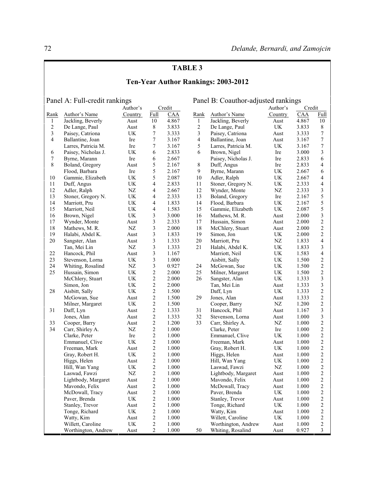# **Ten-Year Author Rankings: 2003-2012**

Panel A: Full-credit rankings Panel B: Coauthor-adjusted rankings

|                  |                     | Author's   |                         | Credit |                |                     | Author's | Credit    |                  |
|------------------|---------------------|------------|-------------------------|--------|----------------|---------------------|----------|-----------|------------------|
| Rank             | Author's Name       | Country    | Full                    | CAA    | Rank           | Author's Name       | Country  | CAA       | Full             |
| $\mathbf{1}$     | Jackling, Beverly   | Aust       | 10                      | 4.867  | 1              | Jackling, Beverly   | Aust     | 4.867     | 10               |
| $\sqrt{2}$       | De Lange, Paul      | Aust       | $8\,$                   | 3.833  | $\sqrt{2}$     | De Lange, Paul      | UK       | 3.833     | 8                |
| $\mathfrak{Z}$   | Paisey, Catriona    | UK         | 7                       | 3.333  | 3              | Paisey, Catriona    | Aust     | 3.333     | $\boldsymbol{7}$ |
| $\overline{4}$   | Ballantine, Joan    | Ire        | 7                       | 3.167  | $\overline{4}$ | Ballantine, Joan    | Aust     | 3.167     | $\overline{7}$   |
|                  | Larres, Patricia M. | Ire        | 7                       | 3.167  | 5              | Larres, Patricia M. | UK       | 3.167     | $\boldsymbol{7}$ |
| 6                | Paisey, Nicholas J. | UK         | 6                       | 2.833  | 6              | Brown, Nigel        | Ire      | 3.000     | $\mathfrak{Z}$   |
| $\boldsymbol{7}$ | Byrne, Marann       | Ire        | 6                       | 2.667  |                | Paisey, Nicholas J. | Ire      | 2.833     | 6                |
| 8                | Boland, Gregory     | Aust       | 5                       | 2.167  | 8              | Duff, Angus         | Ire      | 2.833     | $\overline{4}$   |
|                  | Flood, Barbara      | Ire        | 5                       | 2.167  | 9              | Byrne, Marann       | UK       | 2.667     | 6                |
| 10               | Gammie, Elizabeth   | UK         | 5                       | 2.087  | 10             | Adler, Ralph        | UK       | 2.667     | $\overline{4}$   |
| 11               | Duff, Angus         | UK         | 4                       | 2.833  | 11             | Stoner, Gregory N.  | UK       | 2.333     | $\overline{4}$   |
| 12               | Adler, Ralph        | $\rm{NZ}$  | 4                       | 2.667  | 12             | Wynder, Monte       | NZ       | 2.333     | $\mathfrak{Z}$   |
| 13               | Stoner, Gregory N.  | UK         | 4                       | 2.333  | 13             | Boland, Gregory     | Ire      | 2.167     | 5                |
| 14               | Marriott, Pru       | UK         | 4                       | 1.833  | 14             | Flood, Barbara      | UK       | 2.167     | 5                |
| 15               | Marriott, Neil      | UK         | 4                       | 1.583  | 15             | Gammie, Elizabeth   | UK       | 2.087     | $\sqrt{5}$       |
| 16               | Brown, Nigel        | UK         | 3                       | 3.000  | 16             | Mathews, M. R.      | Aust     | 2.000     | $\mathfrak{Z}$   |
| 17               | Wynder, Monte       | Aust       | 3                       | 2.333  | 17             | Hussain, Simon      | Aust     | 2.000     | $\boldsymbol{2}$ |
| 18               | Mathews, M. R.      | NZ         | 3                       | 2.000  | 18             | McChlery, Stuart    | Aust     | 2.000     | $\sqrt{2}$       |
| 19               | Halabi, Abdel K.    | Aust       | 3                       | 1.833  | 19             | Simon, Jon          | UK       | 2.000     | $\sqrt{2}$       |
| 20               | Sangster, Alan      | Aust       | 3                       | 1.333  | 20             | Marriott, Pru       | NZ       | 1.833     | $\overline{4}$   |
|                  | Tan, Mei Lin        | NZ         | 3                       | 1.333  | 21             | Halabi, Abdel K.    | UK       | 1.833     | $\mathfrak{Z}$   |
| 22               | Hancock, Phil       | Aust       | 3                       | 1.167  |                | Marriott, Neil      | UK       | 1.583     | $\overline{4}$   |
| 23               | Stevenson, Lorna    | UK         | 3                       | 1.000  |                | Aisbitt, Sally      | UK       | 1.500     | $\sqrt{2}$       |
| 24               | Whiting, Rosalind   | NZ         | 3                       | 0.927  | 24             | McGowan, Sue        | UK       | 1.500     | $\sqrt{2}$       |
| 25               | Hussain, Simon      | UK         | $\overline{\mathbf{c}}$ | 2.000  | 25             | Milner, Margaret    | UK       | 1.500     | $\sqrt{2}$       |
|                  | McChlery, Stuart    | UK         | $\sqrt{2}$              | 2.000  | 26             | Sangster, Alan      | UK       | 1.333     | $\mathfrak{Z}$   |
|                  | Simon, Jon          | UK         | $\overline{\mathbf{c}}$ | 2.000  |                | Tan, Mei Lin        | Aust     | 1.333     | $\mathfrak{Z}$   |
| 28               | Aisbitt, Sally      | UK         | $\boldsymbol{2}$        | 1.500  |                | Daff, Lyn           | UK       | 1.333     | $\sqrt{2}$       |
|                  | McGowan, Sue        | Aust       | 2                       | 1.500  | 29             | Jones, Alan         | Aust     | 1.333     | $\boldsymbol{2}$ |
|                  | Milner, Margaret    | UK         | $\overline{c}$          | 1.500  |                | Cooper, Barry       | NZ       | 1.200     | $\overline{c}$   |
| 31               | Daff, Lyn           | Aust       | $\sqrt{2}$              | 1.333  | 31             | Hancock, Phil       | Aust     | 1.167     | $\mathfrak{Z}$   |
|                  | Jones, Alan         | Aust       | 2                       | 1.333  | 32             | Stevenson, Lorna    | Aust     | 1.000     | $\mathfrak{Z}$   |
| 33               | Cooper, Barry       | Aust       | $\sqrt{2}$              | 1.200  | 33             | Carr, Shirley A.    | NZ       | 1.000     | $\boldsymbol{2}$ |
| 34               | Carr, Shirley A.    | NZ         | $\overline{c}$          | 1.000  |                | Clarke, Peter       | Ire      | 1.000     | $\overline{c}$   |
|                  | Clarke, Peter       | Ire        | $\overline{\mathbf{c}}$ | 1.000  |                | Emmanuel, Clive     | UK       | 1.000     | $\sqrt{2}$       |
|                  | Emmanuel, Clive     | UK         | $\overline{\mathbf{c}}$ | 1.000  |                | Freeman, Mark       | Aust     | 1.000     | $\boldsymbol{2}$ |
|                  | Freeman, Mark       | Aust       | $\overline{\mathbf{c}}$ | 1.000  |                | Gray, Robert H.     | UK       | 1.000     | $\sqrt{2}$       |
|                  | Gray, Robert H.     | UK         | 2                       | 1.000  |                | Higgs, Helen        | Aust     | 1.000     | $\boldsymbol{2}$ |
|                  | Higgs, Helen        | Aust       | 2                       | 1.000  |                | Hill, Wan Yang      | UK       | 1.000     | $\boldsymbol{2}$ |
|                  | Hill, Wan Yang      | UK         | $\boldsymbol{2}$        | 1.000  |                | Laswad, Fawzi       | NZ       | 1.000     | $\sqrt{2}$       |
|                  | Laswad, Fawzi       | ${\rm NZ}$ | 2                       | 1.000  |                | Lightbody, Margaret | Aust     | 1.000     | $\overline{2}$   |
|                  | Lightbody, Margaret | Aust       | $\overline{c}$          | 1.000  |                | Mavondo, Felix      | Aust     | $1.000\,$ | $\overline{2}$   |
|                  | Mavondo, Felix      | Aust       | 2                       | 1.000  |                | McDowall, Tracy     | Aust     | 1.000     | 2                |
|                  | McDowall, Tracy     | Aust       | 2                       | 1.000  |                | Paver, Brenda       | UK       | 1.000     | $\overline{c}$   |
|                  | Paver, Brenda       | UK         | $\overline{\mathbf{c}}$ | 1.000  |                | Stanley, Trevor     | Aust     | 1.000     | $\sqrt{2}$       |
|                  | Stanley, Trevor     | Aust       | 2                       | 1.000  |                | Tonge, Richard      | UK       | 1.000     | $\overline{c}$   |
|                  | Tonge, Richard      | UK         | 2                       | 1.000  |                | Watty, Kim          | Aust     | 1.000     | 2                |
|                  | Watty, Kim          | Aust       | 2                       | 1.000  |                | Willett, Caroline   | UK       | 1.000     | $\overline{c}$   |
|                  | Willett, Caroline   | UK         | 2                       | 1.000  |                | Worthington, Andrew | Aust     | 1.000     | $\sqrt{2}$       |
|                  | Worthington, Andrew | Aust       | 2                       | 1.000  | 50             | Whiting, Rosalind   |          | 0.927     | 3                |
|                  |                     |            |                         |        |                |                     | Aust     |           |                  |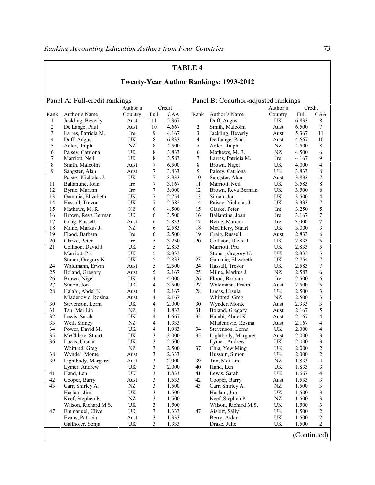| <b>Twenty-Year Author Rankings: 1993-2012</b>                                            |                      |            |                |       |                         |                      |            |       |                         |  |  |
|------------------------------------------------------------------------------------------|----------------------|------------|----------------|-------|-------------------------|----------------------|------------|-------|-------------------------|--|--|
| Panel A: Full-credit rankings<br>Panel B: Coauthor-adjusted rankings<br>Credit<br>Credit |                      |            |                |       |                         |                      |            |       |                         |  |  |
|                                                                                          |                      | Author's   |                |       |                         |                      | Author's   |       |                         |  |  |
| Rank                                                                                     | Author's Name        | Country    | Full           | CAA   | Rank                    | Author's Name        | Country    | Full  | CAA                     |  |  |
| 1                                                                                        | Jackling, Beverly    | Aust       | 11             | 5.367 | $\mathbf{1}$            | Duff, Angus          | UK         | 6.833 | 8                       |  |  |
| $\overline{c}$                                                                           | De Lange, Paul       | Aust       | 10             | 4.667 | 2                       | Smith, Malcolm       | Aust       | 6.500 | $\tau$                  |  |  |
| $\mathfrak{Z}$                                                                           | Larres, Patricia M.  | Ire        | 9              | 4.167 | 3                       | Jackling, Beverly    | Aust       | 5.367 | 11                      |  |  |
| $\overline{4}$                                                                           | Duff, Angus          | UK         | 8              | 6.833 | $\overline{\mathbf{4}}$ | De Lange, Paul       | Aust       | 4.667 | 10                      |  |  |
| 5                                                                                        | Adler, Ralph         | NZ         | 8              | 4.500 | 5                       | Adler, Ralph         | NZ         | 4.500 | 8                       |  |  |
| 6                                                                                        | Paisey, Catriona     | UK         | 8              | 3.833 | 6                       | Mathews, M. R.       | NZ         | 4.500 | 6                       |  |  |
| 7                                                                                        | Marriott, Neil       | UK         | 8              | 3.583 | 7                       | Larres, Patricia M.  | Ire        | 4.167 | 9                       |  |  |
| 8                                                                                        | Smith, Malcolm       | Aust       | 7              | 6.500 | 8                       | Brown, Nigel         | UK         | 4.000 | 4                       |  |  |
| 9                                                                                        | Sangster, Alan       | Aust       | 7              | 3.833 | 9                       | Paisey, Catriona     | UK         | 3.833 | 8                       |  |  |
|                                                                                          | Paisey, Nicholas J.  | UK         | 7              | 3.333 | 10                      | Sangster, Alan       | Aust       | 3.833 | 7                       |  |  |
| 11                                                                                       | Ballantine, Joan     | Ire        | 7              | 3.167 | 11                      | Marriott, Neil       | UK         | 3.583 | 8                       |  |  |
| 12                                                                                       | Byrne, Marann        | Ire        | 7              | 3.000 | 12                      | Brown, Reva Berman   | UK         | 3.500 | 6                       |  |  |
| 13                                                                                       | Gammie, Elizabeth    | UK         | 7              | 2.754 | 13                      | Simon, Jon           | UK         | 3.500 | 4                       |  |  |
| 14                                                                                       | Hassall, Trevor      | UK         | 7              | 2.582 | 14                      | Paisey, Nicholas J.  | UK         | 3.333 | $\boldsymbol{7}$        |  |  |
| 15                                                                                       | Mathews, M. R.       | NZ         | 6              | 4.500 | 15                      | Clarke, Peter        | Ire        | 3.250 | 5                       |  |  |
| 16                                                                                       | Brown, Reva Berman   | UK         | 6              | 3.500 | 16                      | Ballantine, Joan     | Ire        | 3.167 | 7                       |  |  |
| 17                                                                                       | Craig, Russell       | Aust       | 6              | 2.833 | 17                      | Byrne, Marann        | Ire        | 3.000 | 7                       |  |  |
| 18                                                                                       | Milne, Markus J.     | NZ         | 6              | 2.583 | 18                      | McChlery, Stuart     | UK         | 3.000 | 3                       |  |  |
| 19                                                                                       | Flood, Barbara       | Ire        | 6              | 2.500 | 19                      | Craig, Russell       | Aust       | 2.833 | 6                       |  |  |
| $20\,$                                                                                   | Clarke, Peter        | Ire        | 5              | 3.250 | $20\,$                  | Collison, David J.   | UK         | 2.833 | 5                       |  |  |
| 21                                                                                       | Collison, David J.   | UK         | 5              | 2.833 |                         | Marriott, Pru        | UK         | 2.833 | 5                       |  |  |
|                                                                                          | Marriott, Pru        | UK         | 5              | 2.833 |                         | Stoner, Gregory N.   | UK         | 2.833 | 5                       |  |  |
|                                                                                          | Stoner, Gregory N.   | UK         | 5              | 2.833 | 23                      | Gammie, Elizabeth    | UK         | 2.754 | 7                       |  |  |
| 24                                                                                       | Waldmann, Erwin      | Aust       | 5              | 2.500 | 24                      | Hassall, Trevor      | UK         | 2.583 | 7                       |  |  |
| 25                                                                                       | Boland, Gregory      | Aust       | 5              | 2.167 | 25                      | Milne, Markus J.     | NZ         | 2.583 | 6                       |  |  |
| 26                                                                                       | Brown, Nigel         | UK.        | 4              | 4.000 | 26                      | Flood, Barbara       | Ire        | 2.500 | 6                       |  |  |
| 27                                                                                       | Simon, Jon           | UK         | 4              | 3.500 | 27                      | Waldmann, Erwin      | Aust       | 2.500 | 5                       |  |  |
| 28                                                                                       | Halabi, Abdel K.     | Aust       | 4              | 2.167 | 28                      | Lucas, Ursula        | UK         | 2.500 | 3                       |  |  |
|                                                                                          | Mladenovic, Rosina   | Aust       | 4              | 2.167 |                         | Whittred, Greg       | NZ         | 2.500 | 3                       |  |  |
| 30                                                                                       | Stevenson, Lorna     | UK         | 4              | 2.000 | 30                      | Wynder, Monte        | Aust       | 2.333 | 3                       |  |  |
| 31                                                                                       | Tan, Mei Lin         | NZ         | 4              | 1.833 | 31                      | Boland, Gregory      | Aust       | 2.167 | 5                       |  |  |
| 32                                                                                       | Lewis, Sarah         | UK         | 4              | 1.667 | 32                      | Halabi, Abdel K.     | Aust       | 2.167 | $\overline{4}$          |  |  |
| 33                                                                                       | Weil, Sidney         | NZ         | 4              | 1.333 |                         | Mladenovic, Rosina   | Aust       | 2.167 | 4                       |  |  |
| 34                                                                                       | Power, David M.      | UK         | 4              | 1.083 | 34                      | Stevenson, Lorna     | UK.        | 2.000 | 4                       |  |  |
| 35                                                                                       | McChlery, Stuart     | UK         | 3              | 3.000 | 35                      | Lightbody, Margaret  | Aust       | 2.000 | 3                       |  |  |
| 36                                                                                       | Lucas, Ursula        | UK         | 3              | 2.500 |                         | Lymer, Andrew        | UK         | 2.000 | 3                       |  |  |
|                                                                                          | Whittred, Greg       | ${\rm NZ}$ | 3              | 2.500 | 37                      | Chia, Yew Ming       | UK         | 2.000 | $\overline{\mathbf{c}}$ |  |  |
| 38                                                                                       | Wynder, Monte        | Aust       | 3              | 2.333 |                         | Hussain, Simon       | UK         | 2.000 | 2                       |  |  |
| 39                                                                                       | Lightbody, Margaret  | Aust       | 3              | 2.000 | 39                      | Tan, Mei Lin         | $\rm{NZ}$  | 1.833 | 4                       |  |  |
|                                                                                          | Lymer, Andrew        | UK         | 3              | 2.000 | 40                      | Hand, Len            | UK         | 1.833 | 3                       |  |  |
| 41                                                                                       | Hand, Len            | UK         | 3              | 1.833 | 41                      | Lewis, Sarah         | UK         | 1.667 | 4                       |  |  |
| 42                                                                                       | Cooper, Barry        | Aust       | 3              | 1.533 | 42                      | Cooper, Barry        | Aust       | 1.533 | 3                       |  |  |
| 43                                                                                       | Carr, Shirley A.     | $\rm{NZ}$  | $\mathfrak{Z}$ | 1.500 | 43                      | Carr, Shirley A.     | ${\rm NZ}$ | 1.500 | $\mathfrak{Z}$          |  |  |
|                                                                                          | Haslam, Jim          | UK         | 3              | 1.500 |                         | Haslam, Jim          | UK         | 1.500 | 3                       |  |  |
|                                                                                          | Keef, Stephen P.     | NZ         | 3              | 1.500 |                         | Keef, Stephen P.     | NZ         | 1.500 | 3                       |  |  |
|                                                                                          | Wilson, Richard M.S. | UK         | 3              | 1.500 |                         | Wilson, Richard M.S. | UK         | 1.500 | 3                       |  |  |
| 47                                                                                       | Emmanuel, Clive      | UK         | 3              | 1.333 | 47                      | Aisbitt, Sally       | UK         | 1.500 | $\overline{c}$          |  |  |
|                                                                                          | Evans, Patricia      | Aust       | 3              | 1.333 |                         | Berry, Aidan         | UK         | 1.500 | $\overline{c}$          |  |  |
|                                                                                          | Gallhofer, Sonja     | UK         | 3              | 1.333 |                         | Drake, Julie         | UK         | 1.500 | $\overline{c}$          |  |  |

(Continued)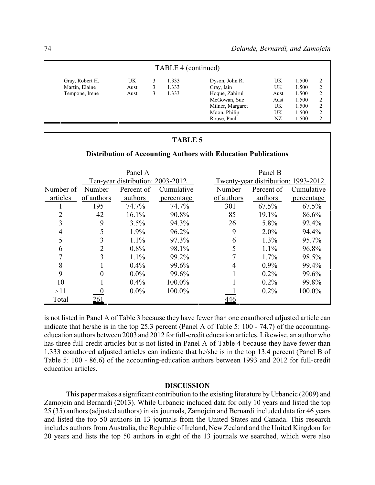| TABLE 4 (continued) |      |  |       |                  |      |       |   |  |  |
|---------------------|------|--|-------|------------------|------|-------|---|--|--|
| Gray, Robert H.     | UK   |  | 1.333 | Dyson, John R.   | UK   | 1.500 | 2 |  |  |
| Martin, Elaine      | Aust |  | 1.333 | Gray, Iain       | UK   | 1.500 | 2 |  |  |
| Tempone, Irene      | Aust |  | 1.333 | Hoque, Zahirul   | Aust | 1.500 | 2 |  |  |
|                     |      |  |       | McGowan, Sue     | Aust | 1.500 | 2 |  |  |
|                     |      |  |       | Milner, Margaret | UK   | 1.500 | 2 |  |  |
|                     |      |  |       | Moon, Philip     | UK   | 1.500 | 2 |  |  |
|                     |      |  |       | Rouse, Paul      | NZ   | 1.500 | 2 |  |  |

## **Distribution of Accounting Authors with Education Publications**

|           |            | Panel A                          |            |                                     | Panel B    |            |  |
|-----------|------------|----------------------------------|------------|-------------------------------------|------------|------------|--|
|           |            | Ten-year distribution: 2003-2012 |            | Twenty-year distribution: 1993-2012 |            |            |  |
| Number of | Number     | Percent of                       | Cumulative | Number                              | Percent of | Cumulative |  |
| articles  | of authors | authors                          | percentage | of authors                          | authors    | percentage |  |
|           | 195        | 74.7%                            | 74.7%      | 301                                 | $67.5\%$   | 67.5%      |  |
| 2         | 42         | 16.1%                            | 90.8%      | 85                                  | 19.1%      | 86.6%      |  |
| 3         | 9          | 3.5%                             | 94.3%      | 26                                  | 5.8%       | 92.4%      |  |
| 4         |            | 1.9%                             | 96.2%      | 9                                   | $2.0\%$    | 94.4%      |  |
| 5         | 3          | 1.1%                             | 97.3%      | 6                                   | $1.3\%$    | 95.7%      |  |
| 6         | 2          | 0.8%                             | 98.1%      | 5                                   | $1.1\%$    | 96.8%      |  |
|           | 3          | 1.1%                             | 99.2%      |                                     | $1.7\%$    | 98.5%      |  |
| 8         |            | 0.4%                             | 99.6%      |                                     | $0.9\%$    | 99.4%      |  |
| 9         | 0          | $0.0\%$                          | 99.6%      |                                     | $0.2\%$    | 99.6%      |  |
| 10        |            | 0.4%                             | 100.0%     |                                     | $0.2\%$    | 99.8%      |  |
| $\geq$ 11 |            | $0.0\%$                          | 100.0%     |                                     | $0.2\%$    | 100.0%     |  |
| Total     | 261        |                                  |            | 446                                 |            |            |  |

is not listed in Panel A of Table 3 because they have fewer than one coauthored adjusted article can indicate that he/she is in the top 25.3 percent (Panel A of Table 5: 100 - 74.7) of the accountingeducation authors between 2003 and 2012 for full-credit education articles. Likewise, an author who has three full-credit articles but is not listed in Panel A of Table 4 because they have fewer than 1.333 coauthored adjusted articles can indicate that he/she is in the top 13.4 percent (Panel B of Table 5: 100 - 86.6) of the accounting-education authors between 1993 and 2012 for full-credit education articles.

### **DISCUSSION**

This paper makes a significant contribution to the existing literature by Urbancic (2009) and Zamojcin and Bernardi (2013). While Urbancic included data for only 10 years and listed the top 25 (35) authors (adjusted authors) in six journals, Zamojcin and Bernardi included data for 46 years and listed the top 50 authors in 13 journals from the United States and Canada. This research includes authors from Australia, the Republic of Ireland, New Zealand and the United Kingdom for 20 years and lists the top 50 authors in eight of the 13 journals we searched, which were also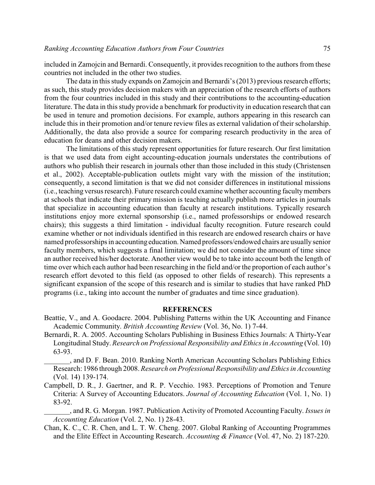included in Zamojcin and Bernardi. Consequently, it provides recognition to the authors from these countries not included in the other two studies.

The data in this study expands on Zamojcin and Bernardi's (2013) previous research efforts; as such, this study provides decision makers with an appreciation of the research efforts of authors from the four countries included in this study and their contributions to the accounting-education literature. The data in this study provide a benchmark for productivity in education research that can be used in tenure and promotion decisions. For example, authors appearing in this research can include this in their promotion and/or tenure review files as external validation of their scholarship. Additionally, the data also provide a source for comparing research productivity in the area of education for deans and other decision makers.

The limitations of this study represent opportunities for future research. Our first limitation is that we used data from eight accounting-education journals understates the contributions of authors who publish their research in journals other than those included in this study (Christensen et al., 2002). Acceptable-publication outlets might vary with the mission of the institution; consequently, a second limitation is that we did not consider differences in institutional missions (i.e., teaching versus research). Future research could examine whether accounting facultymembers at schools that indicate their primary mission is teaching actually publish more articles in journals that specialize in accounting education than faculty at research institutions. Typically research institutions enjoy more external sponsorship (i.e., named professorships or endowed research chairs); this suggests a third limitation - individual faculty recognition. Future research could examine whether or not individuals identified in this research are endowed research chairs or have named professorships in accounting education. Named professors/endowed chairs are usually senior faculty members, which suggests a final limitation; we did not consider the amount of time since an author received his/her doctorate. Another view would be to take into account both the length of time over which each author had been researching in the field and/or the proportion of each author's research effort devoted to this field (as opposed to other fields of research). This represents a significant expansion of the scope of this research and is similar to studies that have ranked PhD programs (i.e., taking into account the number of graduates and time since graduation).

### **REFERENCES**

- Beattie, V., and A. Goodacre. 2004. Publishing Patterns within the UK Accounting and Finance Academic Community. *British Accounting Review* (Vol. 36, No. 1) 7-44.
- Bernardi, R. A. 2005. Accounting Scholars Publishing in Business Ethics Journals: A Thirty-Year Longitudinal Study. *Research on Professional Responsibility and Ethics in Accounting* (Vol. 10) 63-93.

\_\_\_\_\_\_\_, and D. F. Bean. 2010. Ranking North American Accounting Scholars Publishing Ethics Research: 1986 through 2008. *Research on Professional Responsibility and Ethics in Accounting* (Vol. 14) 139-174.

Campbell, D. R., J. Gaertner, and R. P. Vecchio. 1983. Perceptions of Promotion and Tenure Criteria: A Survey of Accounting Educators. *Journal of Accounting Education* (Vol. 1, No. 1) 83-92.

\_\_\_\_\_\_\_, and R. G. Morgan. 1987. Publication Activity of Promoted Accounting Faculty. *Issues in Accounting Education* (Vol. 2, No. 1) 28-43.

Chan, K. C., C. R. Chen, and L. T. W. Cheng. 2007. Global Ranking of Accounting Programmes and the Elite Effect in Accounting Research. *Accounting & Finance* (Vol. 47, No. 2) 187-220.